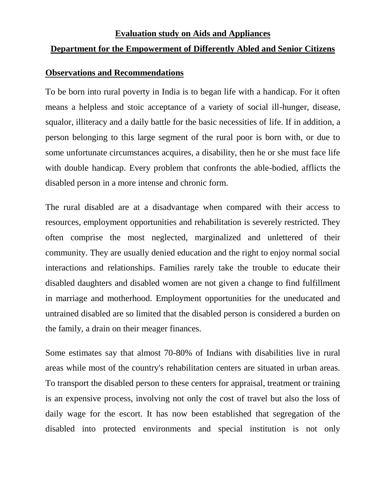#### **Department for the Empowerment of Differently Abled and Senior Citizens**

#### **Observations and Recommendations**

To be born into rural poverty in India is to began life with a handicap. For it often means a helpless and stoic acceptance of a variety of social ill-hunger, disease, squalor, illiteracy and a daily battle for the basic necessities of life. If in addition, a person belonging to this large segment of the rural poor is born with, or due to some unfortunate circumstances acquires, a disability, then he or she must face life with double handicap. Every problem that confronts the able-bodied, afflicts the disabled person in a more intense and chronic form.

The rural disabled are at a disadvantage when compared with their access to resources, employment opportunities and rehabilitation is severely restricted. They often comprise the most neglected, marginalized and unlettered of their community. They are usually denied education and the right to enjoy normal social interactions and relationships. Families rarely take the trouble to educate their disabled daughters and disabled women are not given a change to find fulfillment in marriage and motherhood. Employment opportunities for the uneducated and untrained disabled are so limited that the disabled person is considered a burden on the family, a drain on their meager finances.

Some estimates say that almost 70-80% of Indians with disabilities live in rural areas while most of the country's rehabilitation centers are situated in urban areas. To transport the disabled person to these centers for appraisal, treatment or training is an expensive process, involving not only the cost of travel but also the loss of daily wage for the escort. It has now been established that segregation of the disabled into protected environments and special institution is not only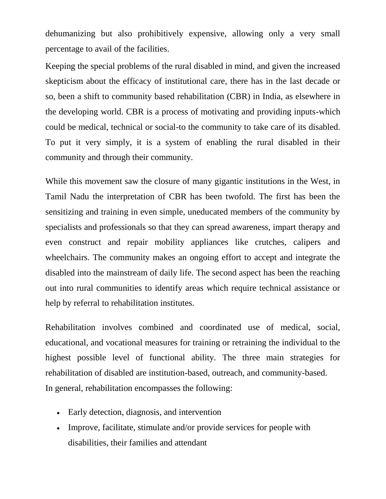dehumanizing but also prohibitively expensive, allowing only a very small percentage to avail of the facilities.

Keeping the special problems of the rural disabled in mind, and given the increased skepticism about the efficacy of institutional care, there has in the last decade or so, been a shift to community based rehabilitation (CBR) in India, as elsewhere in the developing world. CBR is a process of motivating and providing inputs-which could be medical, technical or social-to the community to take care of its disabled. To put it very simply, it is a system of enabling the rural disabled in their community and through their community.

While this movement saw the closure of many gigantic institutions in the West, in Tamil Nadu the interpretation of CBR has been twofold. The first has been the sensitizing and training in even simple, uneducated members of the community by specialists and professionals so that they can spread awareness, impart therapy and even construct and repair mobility appliances like crutches, calipers and wheelchairs. The community makes an ongoing effort to accept and integrate the disabled into the mainstream of daily life. The second aspect has been the reaching out into rural communities to identify areas which require technical assistance or help by referral to rehabilitation institutes.

Rehabilitation involves combined and coordinated use of medical, social, educational, and vocational measures for training or retraining the individual to the highest possible level of functional ability. The three main strategies for rehabilitation of disabled are institution-based, outreach, and community-based. In general, rehabilitation encompasses the following:

- Early detection, diagnosis, and intervention
- Improve, facilitate, stimulate and/or provide services for people with disabilities, their families and attendant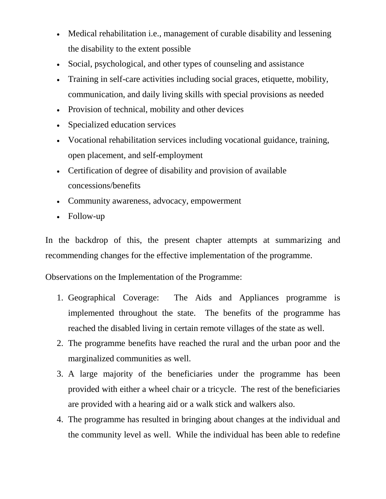- Medical rehabilitation i.e., management of curable disability and lessening the disability to the extent possible
- Social, psychological, and other types of counseling and assistance
- Training in self-care activities including social graces, etiquette, mobility, communication, and daily living skills with special provisions as needed
- Provision of technical, mobility and other devices
- Specialized education services
- Vocational rehabilitation services including vocational guidance, training, open placement, and self-employment
- Certification of degree of disability and provision of available concessions/benefits
- Community awareness, advocacy, empowerment
- Follow-up

In the backdrop of this, the present chapter attempts at summarizing and recommending changes for the effective implementation of the programme.

Observations on the Implementation of the Programme:

- 1. Geographical Coverage: The Aids and Appliances programme is implemented throughout the state. The benefits of the programme has reached the disabled living in certain remote villages of the state as well.
- 2. The programme benefits have reached the rural and the urban poor and the marginalized communities as well.
- 3. A large majority of the beneficiaries under the programme has been provided with either a wheel chair or a tricycle. The rest of the beneficiaries are provided with a hearing aid or a walk stick and walkers also.
- 4. The programme has resulted in bringing about changes at the individual and the community level as well. While the individual has been able to redefine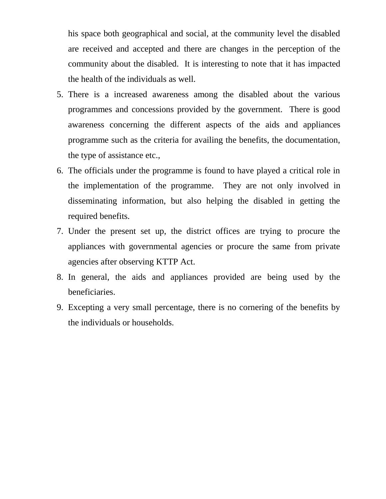his space both geographical and social, at the community level the disabled are received and accepted and there are changes in the perception of the community about the disabled. It is interesting to note that it has impacted the health of the individuals as well.

- 5. There is a increased awareness among the disabled about the various programmes and concessions provided by the government. There is good awareness concerning the different aspects of the aids and appliances programme such as the criteria for availing the benefits, the documentation, the type of assistance etc.,
- 6. The officials under the programme is found to have played a critical role in the implementation of the programme. They are not only involved in disseminating information, but also helping the disabled in getting the required benefits.
- 7. Under the present set up, the district offices are trying to procure the appliances with governmental agencies or procure the same from private agencies after observing KTTP Act.
- 8. In general, the aids and appliances provided are being used by the beneficiaries.
- 9. Excepting a very small percentage, there is no cornering of the benefits by the individuals or households.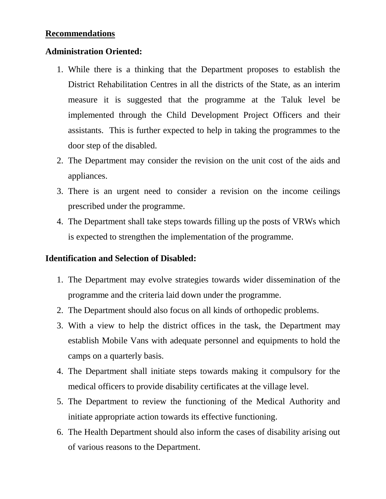#### **Recommendations**

#### **Administration Oriented:**

- 1. While there is a thinking that the Department proposes to establish the District Rehabilitation Centres in all the districts of the State, as an interim measure it is suggested that the programme at the Taluk level be implemented through the Child Development Project Officers and their assistants. This is further expected to help in taking the programmes to the door step of the disabled.
- 2. The Department may consider the revision on the unit cost of the aids and appliances.
- 3. There is an urgent need to consider a revision on the income ceilings prescribed under the programme.
- 4. The Department shall take steps towards filling up the posts of VRWs which is expected to strengthen the implementation of the programme.

#### **Identification and Selection of Disabled:**

- 1. The Department may evolve strategies towards wider dissemination of the programme and the criteria laid down under the programme.
- 2. The Department should also focus on all kinds of orthopedic problems.
- 3. With a view to help the district offices in the task, the Department may establish Mobile Vans with adequate personnel and equipments to hold the camps on a quarterly basis.
- 4. The Department shall initiate steps towards making it compulsory for the medical officers to provide disability certificates at the village level.
- 5. The Department to review the functioning of the Medical Authority and initiate appropriate action towards its effective functioning.
- 6. The Health Department should also inform the cases of disability arising out of various reasons to the Department.